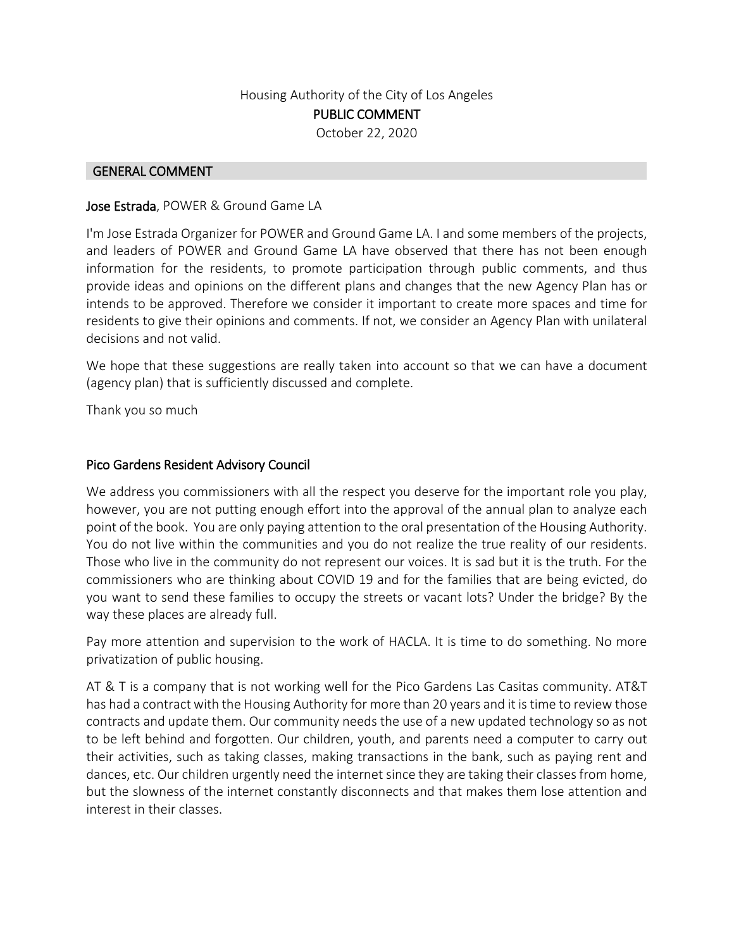## Housing Authority of the City of Los Angeles PUBLIC COMMENT October 22, 2020

#### GENERAL COMMENT

#### Jose Estrada, POWER & Ground Game LA

I'm Jose Estrada Organizer for POWER and Ground Game LA. I and some members of the projects, and leaders of POWER and Ground Game LA have observed that there has not been enough information for the residents, to promote participation through public comments, and thus provide ideas and opinions on the different plans and changes that the new Agency Plan has or intends to be approved. Therefore we consider it important to create more spaces and time for residents to give their opinions and comments. If not, we consider an Agency Plan with unilateral decisions and not valid.

We hope that these suggestions are really taken into account so that we can have a document (agency plan) that is sufficiently discussed and complete.

Thank you so much

### Pico Gardens Resident Advisory Council

We address you commissioners with all the respect you deserve for the important role you play, however, you are not putting enough effort into the approval of the annual plan to analyze each point of the book. You are only paying attention to the oral presentation of the Housing Authority. You do not live within the communities and you do not realize the true reality of our residents. Those who live in the community do not represent our voices. It is sad but it is the truth. For the commissioners who are thinking about COVID 19 and for the families that are being evicted, do you want to send these families to occupy the streets or vacant lots? Under the bridge? By the way these places are already full.

Pay more attention and supervision to the work of HACLA. It is time to do something. No more privatization of public housing.

AT & T is a company that is not working well for the Pico Gardens Las Casitas community. AT&T has had a contract with the Housing Authority for more than 20 years and it is time to review those contracts and update them. Our community needs the use of a new updated technology so as not to be left behind and forgotten. Our children, youth, and parents need a computer to carry out their activities, such as taking classes, making transactions in the bank, such as paying rent and dances, etc. Our children urgently need the internet since they are taking their classes from home, but the slowness of the internet constantly disconnects and that makes them lose attention and interest in their classes.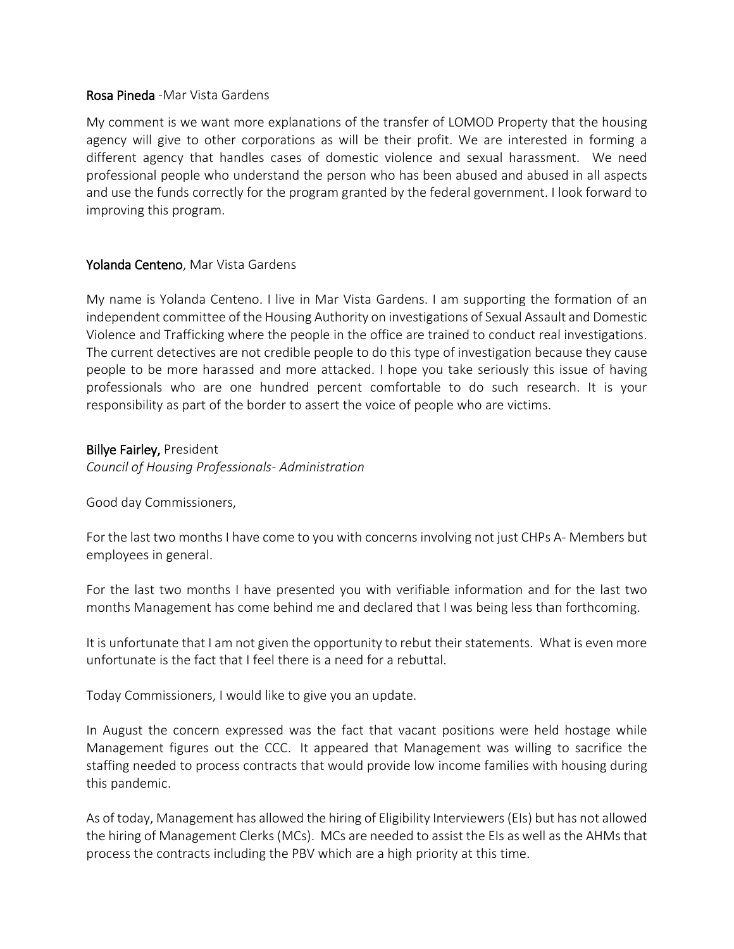### Rosa Pineda -Mar Vista Gardens

My comment is we want more explanations of the transfer of LOMOD Property that the housing agency will give to other corporations as will be their profit. We are interested in forming a different agency that handles cases of domestic violence and sexual harassment. We need professional people who understand the person who has been abused and abused in all aspects and use the funds correctly for the program granted by the federal government. I look forward to improving this program.

### Yolanda Centeno, Mar Vista Gardens

My name is Yolanda Centeno. I live in Mar Vista Gardens. I am supporting the formation of an independent committee of the Housing Authority on investigations of Sexual Assault and Domestic Violence and Trafficking where the people in the office are trained to conduct real investigations. The current detectives are not credible people to do this type of investigation because they cause people to be more harassed and more attacked. I hope you take seriously this issue of having professionals who are one hundred percent comfortable to do such research. It is your responsibility as part of the border to assert the voice of people who are victims.

### Billye Fairley, President

*Council of Housing Professionals- Administration*

Good day Commissioners,

For the last two months I have come to you with concerns involving not just CHPs A- Members but employees in general.

For the last two months I have presented you with verifiable information and for the last two months Management has come behind me and declared that I was being less than forthcoming.

It is unfortunate that I am not given the opportunity to rebut their statements. What is even more unfortunate is the fact that I feel there is a need for a rebuttal.

Today Commissioners, I would like to give you an update.

In August the concern expressed was the fact that vacant positions were held hostage while Management figures out the CCC. It appeared that Management was willing to sacrifice the staffing needed to process contracts that would provide low income families with housing during this pandemic.

As of today, Management has allowed the hiring of Eligibility Interviewers (EIs) but has not allowed the hiring of Management Clerks (MCs). MCs are needed to assist the EIs as well as the AHMs that process the contracts including the PBV which are a high priority at this time.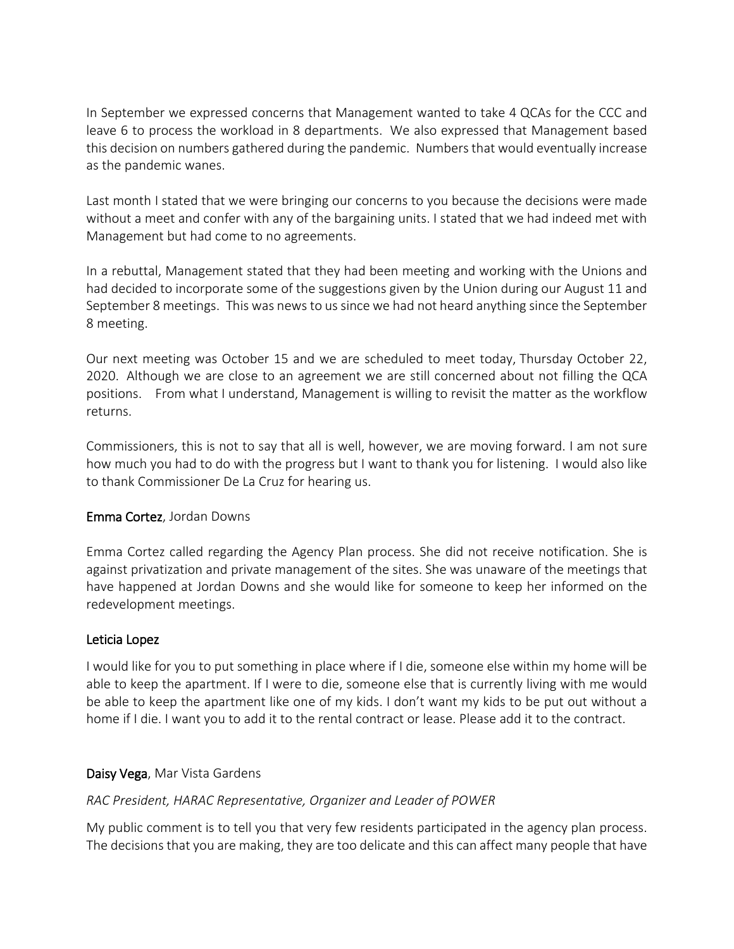In September we expressed concerns that Management wanted to take 4 QCAs for the CCC and leave 6 to process the workload in 8 departments. We also expressed that Management based this decision on numbers gathered during the pandemic. Numbers that would eventually increase as the pandemic wanes.

Last month I stated that we were bringing our concerns to you because the decisions were made without a meet and confer with any of the bargaining units. I stated that we had indeed met with Management but had come to no agreements.

In a rebuttal, Management stated that they had been meeting and working with the Unions and had decided to incorporate some of the suggestions given by the Union during our August 11 and September 8 meetings. This was news to us since we had not heard anything since the September 8 meeting.

Our next meeting was October 15 and we are scheduled to meet today, Thursday October 22, 2020. Although we are close to an agreement we are still concerned about not filling the QCA positions. From what I understand, Management is willing to revisit the matter as the workflow returns.

Commissioners, this is not to say that all is well, however, we are moving forward. I am not sure how much you had to do with the progress but I want to thank you for listening. I would also like to thank Commissioner De La Cruz for hearing us.

## Emma Cortez, Jordan Downs

Emma Cortez called regarding the Agency Plan process. She did not receive notification. She is against privatization and private management of the sites. She was unaware of the meetings that have happened at Jordan Downs and she would like for someone to keep her informed on the redevelopment meetings.

## Leticia Lopez

I would like for you to put something in place where if I die, someone else within my home will be able to keep the apartment. If I were to die, someone else that is currently living with me would be able to keep the apartment like one of my kids. I don't want my kids to be put out without a home if I die. I want you to add it to the rental contract or lease. Please add it to the contract.

## Daisy Vega, Mar Vista Gardens

# *RAC President, HARAC Representative, Organizer and Leader of POWER*

My public comment is to tell you that very few residents participated in the agency plan process. The decisions that you are making, they are too delicate and this can affect many people that have